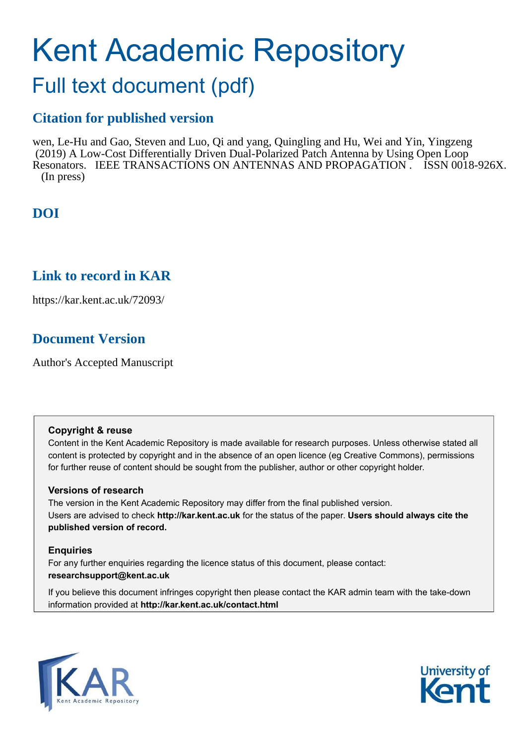# Kent Academic Repository

# Full text document (pdf)

# **Citation for published version**

wen, Le-Hu and Gao, Steven and Luo, Qi and yang, Quingling and Hu, Wei and Yin, Yingzeng (2019) A Low-Cost Differentially Driven Dual-Polarized Patch Antenna by Using Open Loop Resonators. IEEE TRANSACTIONS ON ANTENNAS AND PROPAGATION . ISSN 0018-926X. (In press)

# **DOI**

# **Link to record in KAR**

https://kar.kent.ac.uk/72093/

# **Document Version**

Author's Accepted Manuscript

# **Copyright & reuse**

Content in the Kent Academic Repository is made available for research purposes. Unless otherwise stated all content is protected by copyright and in the absence of an open licence (eg Creative Commons), permissions for further reuse of content should be sought from the publisher, author or other copyright holder.

# **Versions of research**

The version in the Kent Academic Repository may differ from the final published version. Users are advised to check **http://kar.kent.ac.uk** for the status of the paper. **Users should always cite the published version of record.**

# **Enquiries**

For any further enquiries regarding the licence status of this document, please contact: **researchsupport@kent.ac.uk**

If you believe this document infringes copyright then please contact the KAR admin team with the take-down information provided at **http://kar.kent.ac.uk/contact.html**



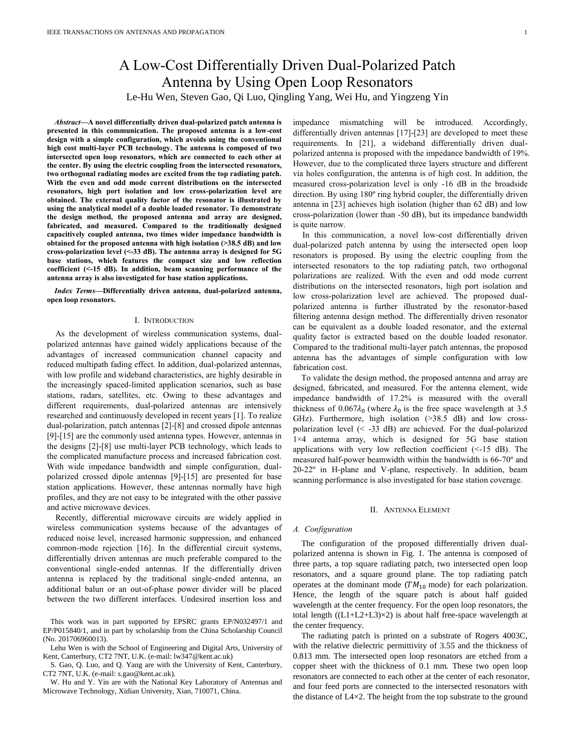# A Low-Cost Differentially Driven Dual-Polarized Patch Antenna by Using Open Loop Resonators Le-Hu Wen, Steven Gao, Qi Luo, Qingling Yang, Wei Hu, and Yingzeng Yin

*Abstract***—A novel differentially driven dual-polarized patch antenna is presented in this communication. The proposed antenna is a low-cost design with a simple configuration, which avoids using the conventional high cost multi-layer PCB technology. The antenna is composed of two intersected open loop resonators, which are connected to each other at the center. By using the electric coupling from the intersected resonators, two orthogonal radiating modes are excited from the top radiating patch. With the even and odd mode current distributions on the intersected resonators, high port isolation and low cross-polarization level are obtained. The external quality factor of the resonator is illustrated by using the analytical model of a double loaded resonator. To demonstrate the design method, the proposed antenna and array are designed, fabricated, and measured. Compared to the traditionally designed capacitively coupled antenna, two times wider impedance bandwidth is obtained for the proposed antenna with high isolation (>38.5 dB) and low cross-polarization level (<-33 dB). The antenna array is designed for 5G base stations, which features the compact size and low reflection coefficient (<-15 dB). In addition, beam scanning performance of the antenna array is also investigated for base station applications.** 

*Index Terms***—Differentially driven antenna, dual-polarized antenna, open loop resonators.** 

#### I. INTRODUCTION

As the development of wireless communication systems, dualpolarized antennas have gained widely applications because of the advantages of increased communication channel capacity and reduced multipath fading effect. In addition, dual-polarized antennas, with low profile and wideband characteristics, are highly desirable in the increasingly spaced-limited application scenarios, such as base stations, radars, satellites, etc. Owing to these advantages and different requirements, dual-polarized antennas are intensively researched and continuously developed in recent years [1]. To realize dual-polarization, patch antennas [2]-[8] and crossed dipole antennas [9]-[15] are the commonly used antenna types. However, antennas in the designs [2]-[8] use multi-layer PCB technology, which leads to the complicated manufacture process and increased fabrication cost. With wide impedance bandwidth and simple configuration, dualpolarized crossed dipole antennas [9]-[15] are presented for base station applications. However, these antennas normally have high profiles, and they are not easy to be integrated with the other passive and active microwave devices.

Recently, differential microwave circuits are widely applied in wireless communication systems because of the advantages of reduced noise level, increased harmonic suppression, and enhanced common-mode rejection [16]. In the differential circuit systems, differentially driven antennas are much preferable compared to the conventional single-ended antennas. If the differentially driven antenna is replaced by the traditional single-ended antenna, an additional balun or an out-of-phase power divider will be placed between the two different interfaces. Undesired insertion loss and impedance mismatching will be introduced. Accordingly, differentially driven antennas [17]-[23] are developed to meet these requirements. In [21], a wideband differentially driven dualpolarized antenna is proposed with the impedance bandwidth of 19%. However, due to the complicated three layers structure and different via holes configuration, the antenna is of high cost. In addition, the measured cross-polarization level is only -16 dB in the broadside direction. By using 180º ring hybrid coupler, the differentially driven antenna in [23] achieves high isolation (higher than 62 dB) and low cross-polarization (lower than -50 dB), but its impedance bandwidth is quite narrow.

In this communication, a novel low-cost differentially driven dual-polarized patch antenna by using the intersected open loop resonators is proposed. By using the electric coupling from the intersected resonators to the top radiating patch, two orthogonal polarizations are realized. With the even and odd mode current distributions on the intersected resonators, high port isolation and low cross-polarization level are achieved. The proposed dualpolarized antenna is further illustrated by the resonator-based filtering antenna design method. The differentially driven resonator can be equivalent as a double loaded resonator, and the external quality factor is extracted based on the double loaded resonator. Compared to the traditional multi-layer patch antennas, the proposed antenna has the advantages of simple configuration with low fabrication cost.

To validate the design method, the proposed antenna and array are designed, fabricated, and measured. For the antenna element, wide impedance bandwidth of 17.2% is measured with the overall thickness of  $0.067\lambda_0$  (where  $\lambda_0$  is the free space wavelength at 3.5 GHz). Furthermore, high isolation (>38.5 dB) and low crosspolarization level (< -33 dB) are achieved. For the dual-polarized 1×4 antenna array, which is designed for 5G base station applications with very low reflection coefficient  $(<-15$  dB). The measured half-power beamwidth within the bandwidth is 66-70º and 20-22º in H-plane and V-plane, respectively. In addition, beam scanning performance is also investigated for base station coverage.

#### II. ANTENNA ELEMENT

#### *A. Configuration*

The configuration of the proposed differentially driven dualpolarized antenna is shown in Fig. 1. The antenna is composed of three parts, a top square radiating patch, two intersected open loop resonators, and a square ground plane. The top radiating patch operates at the dominant mode ( $TM_{10}$  mode) for each polarization. Hence, the length of the square patch is about half guided wavelength at the center frequency. For the open loop resonators, the total length  $((L1+L2+L3)\times 2)$  is about half free-space wavelength at the center frequency.

The radiating patch is printed on a substrate of Rogers 4003C, with the relative dielectric permittivity of 3.55 and the thickness of 0.813 mm. The intersected open loop resonators are etched from a copper sheet with the thickness of 0.1 mm. These two open loop resonators are connected to each other at the center of each resonator, and four feed ports are connected to the intersected resonators with the distance of  $L4\times2$ . The height from the top substrate to the ground

This work was in part supported by EPSRC grants EP/N032497/1 and EP/P015840/1, and in part by scholarship from the China Scholarship Council (No. 201706960013).

Lehu Wen is with the School of Engineering and Digital Arts, University of Kent, Canterbury, CT2 7NT, U.K. (e-mail: lw347@kent.ac.uk)

S. Gao, Q. Luo, and Q. Yang are with the University of Kent, Canterbury, CT2 7NT, U.K. (e-mail: s.gao@kent.ac.uk).

W. Hu and Y. Yin are with the National Key Laboratory of Antennas and Microwave Technology, Xidian University, Xian, 710071, China.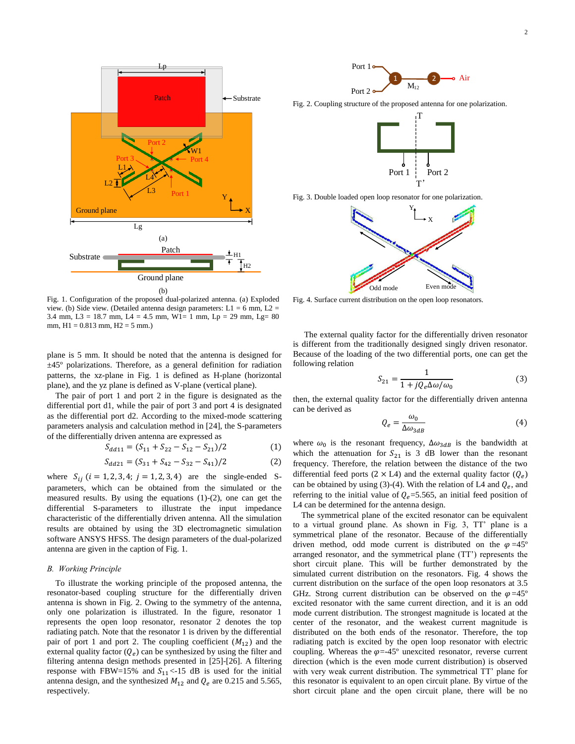

Fig. 1. Configuration of the proposed dual-polarized antenna. (a) Exploded view. (b) Side view. (Detailed antenna design parameters: L1 = 6 mm, L2 = 3.4 mm,  $L3 = 18.7$  mm,  $L4 = 4.5$  mm,  $W1 = 1$  mm,  $Lp = 29$  mm,  $Lg = 80$ mm,  $H1 = 0.813$  mm,  $H2 = 5$  mm.)

plane is 5 mm. It should be noted that the antenna is designed for ±45º polarizations. Therefore, as a general definition for radiation patterns, the xz-plane in Fig. 1 is defined as H-plane (horizontal plane), and the yz plane is defined as V-plane (vertical plane).

The pair of port 1 and port 2 in the figure is designated as the differential port d1, while the pair of port 3 and port 4 is designated as the differential port d2. According to the mixed-mode scattering parameters analysis and calculation method in [24], the S-parameters of the differentially driven antenna are expressed as

$$
S_{dd11} = (S_{11} + S_{22} - S_{12} - S_{21})/2 \tag{1}
$$

$$
S_{dd21} = (S_{31} + S_{42} - S_{32} - S_{41})/2
$$
 (2)

where  $S_{ij}$  ( $i = 1, 2, 3, 4; j = 1, 2, 3, 4$ ) are the single-ended Sparameters, which can be obtained from the simulated or the measured results. By using the equations (1)-(2), one can get the differential S-parameters to illustrate the input impedance characteristic of the differentially driven antenna. All the simulation results are obtained by using the 3D electromagnetic simulation software ANSYS HFSS. The design parameters of the dual-polarized antenna are given in the caption of Fig. 1.

#### *B. Working Principle*

To illustrate the working principle of the proposed antenna, the resonator-based coupling structure for the differentially driven antenna is shown in Fig. 2. Owing to the symmetry of the antenna, only one polarization is illustrated. In the figure, resonator 1 represents the open loop resonator, resonator 2 denotes the top radiating patch. Note that the resonator 1 is driven by the differential pair of port 1 and port 2. The coupling coefficient  $(M_{12})$  and the external quality factor  $(Q_e)$  can be synthesized by using the filter and filtering antenna design methods presented in [25]-[26]. A filtering response with FBW=15% and  $S_{11}$  <-15 dB is used for the initial antenna design, and the synthesized  $M_{12}$  and  $Q_e$  are 0.215 and 5.565, respectively.



Fig. 2. Coupling structure of the proposed antenna for one polarization.



Fig. 3. Double loaded open loop resonator for one polarization.



Fig. 4. Surface current distribution on the open loop resonators.

The external quality factor for the differentially driven resonator is different from the traditionally designed singly driven resonator. Because of the loading of the two differential ports, one can get the following relation

$$
S_{21} = \frac{1}{1 + jQ_e \Delta \omega / \omega_0} \tag{3}
$$

then, the external quality factor for the differentially driven antenna can be derived as

$$
Q_e = \frac{\omega_0}{\Delta \omega_{3dB}}\tag{4}
$$

where  $\omega_0$  is the resonant frequency,  $\Delta \omega_{3dB}$  is the bandwidth at which the attenuation for  $S_{21}$  is 3 dB lower than the resonant frequency. Therefore, the relation between the distance of the two differential feed ports ( $2 \times L4$ ) and the external quality factor ( $Q_e$ ) can be obtained by using (3)-(4). With the relation of L4 and  $Q_e$ , and referring to the initial value of  $Q_e$ =5.565, an initial feed position of L4 can be determined for the antenna design.

The symmetrical plane of the excited resonator can be equivalent to a virtual ground plane. As shown in Fig. 3, TT' plane is a symmetrical plane of the resonator. Because of the differentially driven method, odd mode current is distributed on the  $\varphi = 45^{\circ}$ arranged resonator, and the symmetrical plane (TT') represents the short circuit plane. This will be further demonstrated by the simulated current distribution on the resonators. Fig. 4 shows the current distribution on the surface of the open loop resonators at 3.5 GHz. Strong current distribution can be observed on the  $\varphi = 45^\circ$ excited resonator with the same current direction, and it is an odd mode current distribution. The strongest magnitude is located at the center of the resonator, and the weakest current magnitude is distributed on the both ends of the resonator. Therefore, the top radiating patch is excited by the open loop resonator with electric coupling. Whereas the  $\varphi$ =-45° unexcited resonator, reverse current direction (which is the even mode current distribution) is observed with very weak current distribution. The symmetrical TT' plane for this resonator is equivalent to an open circuit plane. By virtue of the short circuit plane and the open circuit plane, there will be no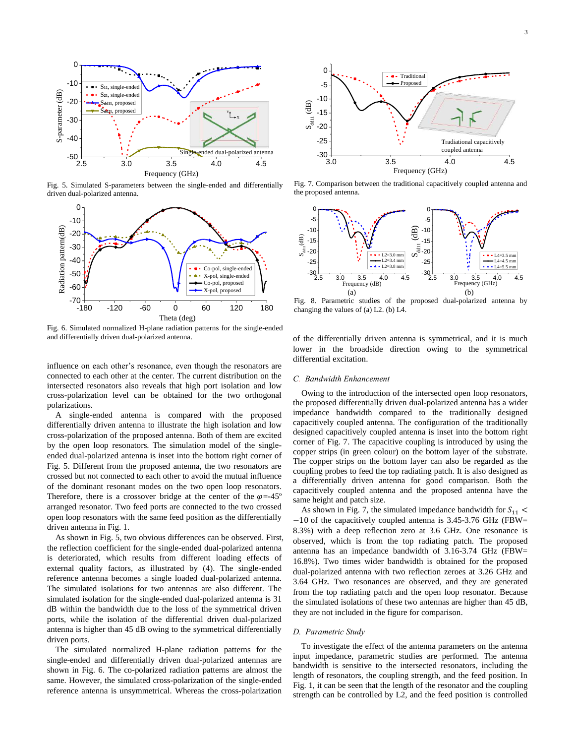

Fig. 5. Simulated S-parameters between the single-ended and differentially driven dual-polarized antenna.



Fig. 6. Simulated normalized H-plane radiation patterns for the single-ended and differentially driven dual-polarized antenna.

influence on each other's resonance, even though the resonators are connected to each other at the center. The current distribution on the intersected resonators also reveals that high port isolation and low cross-polarization level can be obtained for the two orthogonal polarizations.

A single-ended antenna is compared with the proposed differentially driven antenna to illustrate the high isolation and low cross-polarization of the proposed antenna. Both of them are excited by the open loop resonators. The simulation model of the singleended dual-polarized antenna is inset into the bottom right corner of Fig. 5. Different from the proposed antenna, the two resonators are crossed but not connected to each other to avoid the mutual influence of the dominant resonant modes on the two open loop resonators. Therefore, there is a crossover bridge at the center of the  $\varphi$ =-45° arranged resonator. Two feed ports are connected to the two crossed open loop resonators with the same feed position as the differentially driven antenna in Fig. 1.

As shown in Fig. 5, two obvious differences can be observed. First, the reflection coefficient for the single-ended dual-polarized antenna is deteriorated, which results from different loading effects of external quality factors, as illustrated by (4). The single-ended reference antenna becomes a single loaded dual-polarized antenna. The simulated isolations for two antennas are also different. The simulated isolation for the single-ended dual-polarized antenna is 31 dB within the bandwidth due to the loss of the symmetrical driven ports, while the isolation of the differential driven dual-polarized antenna is higher than 45 dB owing to the symmetrical differentially driven ports.

The simulated normalized H-plane radiation patterns for the single-ended and differentially driven dual-polarized antennas are shown in Fig. 6. The co-polarized radiation patterns are almost the same. However, the simulated cross-polarization of the single-ended reference antenna is unsymmetrical. Whereas the cross-polarization



Fig. 7. Comparison between the traditional capacitively coupled antenna and the proposed antenna.



Fig. 8. Parametric studies of the proposed dual-polarized antenna by changing the values of (a) L2. (b) L4.

of the differentially driven antenna is symmetrical, and it is much lower in the broadside direction owing to the symmetrical differential excitation.

#### *C. Bandwidth Enhancement*

Owing to the introduction of the intersected open loop resonators, the proposed differentially driven dual-polarized antenna has a wider impedance bandwidth compared to the traditionally designed capacitively coupled antenna. The configuration of the traditionally designed capacitively coupled antenna is inset into the bottom right corner of Fig. 7. The capacitive coupling is introduced by using the copper strips (in green colour) on the bottom layer of the substrate. The copper strips on the bottom layer can also be regarded as the coupling probes to feed the top radiating patch. It is also designed as a differentially driven antenna for good comparison. Both the capacitively coupled antenna and the proposed antenna have the same height and patch size.

As shown in Fig. 7, the simulated impedance bandwidth for  $S_{11}$  <  $-10$  of the capacitively coupled antenna is 3.45-3.76 GHz (FBW= 8.3%) with a deep reflection zero at 3.6 GHz. One resonance is observed, which is from the top radiating patch. The proposed antenna has an impedance bandwidth of 3.16-3.74 GHz (FBW= 16.8%). Two times wider bandwidth is obtained for the proposed dual-polarized antenna with two reflection zeroes at 3.26 GHz and 3.64 GHz. Two resonances are observed, and they are generated from the top radiating patch and the open loop resonator. Because the simulated isolations of these two antennas are higher than 45 dB, they are not included in the figure for comparison.

#### *D. Parametric Study*

To investigate the effect of the antenna parameters on the antenna input impedance, parametric studies are performed. The antenna bandwidth is sensitive to the intersected resonators, including the length of resonators, the coupling strength, and the feed position. In Fig. 1, it can be seen that the length of the resonator and the coupling strength can be controlled by L2, and the feed position is controlled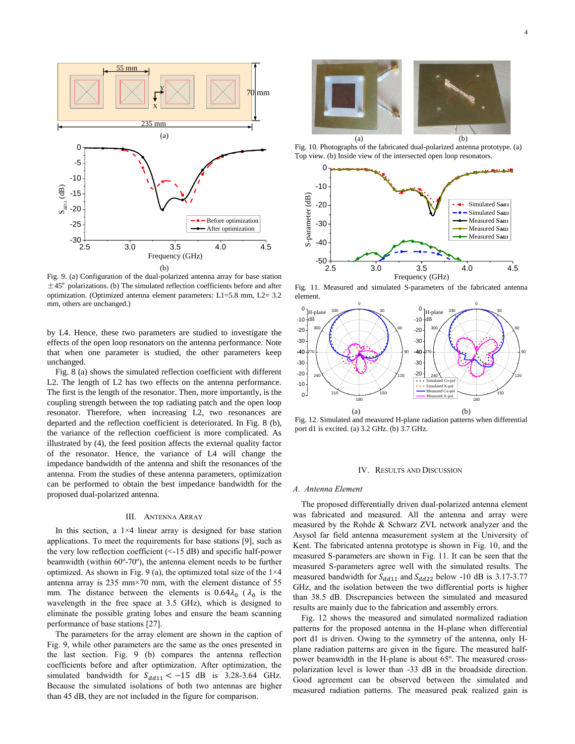

Fig. 9. (a) Configuration of the dual-polarized antenna array for base station  $\pm$ 45<sup>°</sup> polarizations. (b) The simulated reflection coefficients before and after optimization. (Optimized antenna element parameters: L1=5.8 mm, L2= 3.2 mm, others are unchanged.)

by L4. Hence, these two parameters are studied to investigate the effects of the open loop resonators on the antenna performance. Note that when one parameter is studied, the other parameters keep unchanged.

Fig. 8 (a) shows the simulated reflection coefficient with different L2. The length of L2 has two effects on the antenna performance. The first is the length of the resonator. Then, more importantly, is the coupling strength between the top radiating patch and the open loop resonator. Therefore, when increasing L2, two resonances are departed and the reflection coefficient is deteriorated. In Fig. 8 (b), the variance of the reflection coefficient is more complicated. As illustrated by (4), the feed position affects the external quality factor of the resonator. Hence, the variance of L4 will change the impedance bandwidth of the antenna and shift the resonances of the antenna. From the studies of these antenna parameters, optimization can be performed to obtain the best impedance bandwidth for the proposed dual-polarized antenna.

#### III. ANTENNA ARRAY

In this section, a  $1\times4$  linear array is designed for base station applications. To meet the requirements for base stations [9], such as the very low reflection coefficient (<-15 dB) and specific half-power beamwidth (within 60º-70º), the antenna element needs to be further optimized. As shown in Fig. 9 (a), the optimized total size of the  $1\times4$ antenna array is 235 mm×70 mm, with the element distance of 55 mm. The distance between the elements is  $0.64\lambda_0$  (  $\lambda_0$  is the wavelength in the free space at 3.5 GHz), which is designed to eliminate the possible grating lobes and ensure the beam scanning performance of base stations [27].

The parameters for the array element are shown in the caption of Fig. 9, while other parameters are the same as the ones presented in the last section. Fig. 9 (b) compares the antenna reflection coefficients before and after optimization. After optimization, the simulated bandwidth for  $S_{dd11} < -15$  dB is 3.28-3.64 GHz. Because the simulated isolations of both two antennas are higher than 45 dB, they are not included in the figure for comparison.



Fig. 10. Photographs of the fabricated dual-polarized antenna prototype. (a) Top view. (b) Inside view of the intersected open loop resonators.



Fig. 11. Measured and simulated S-parameters of the fabricated antenna element.



Fig. 12. Simulated and measured H-plane radiation patterns when differential port d1 is excited. (a) 3.2 GHz. (b) 3.7 GHz.

#### IV. RESULTS AND DISCUSSION

#### *A. Antenna Element*

The proposed differentially driven dual-polarized antenna element was fabricated and measured. All the antenna and array were measured by the Rohde & Schwarz ZVL network analyzer and the Asysol far field antenna measurement system at the University of Kent. The fabricated antenna prototype is shown in Fig. 10, and the measured S-parameters are shown in Fig. 11. It can be seen that the measured S-parameters agree well with the simulated results. The measured bandwidth for  $S_{dd11}$  and  $S_{dd22}$  below -10 dB is 3.17-3.77 GHz, and the isolation between the two differential ports is higher than 38.5 dB. Discrepancies between the simulated and measured results are mainly due to the fabrication and assembly errors.

Fig. 12 shows the measured and simulated normalized radiation patterns for the proposed antenna in the H-plane when differential port d1 is driven. Owing to the symmetry of the antenna, only Hplane radiation patterns are given in the figure. The measured halfpower beamwidth in the H-plane is about 65º. The measured crosspolarization level is lower than -33 dB in the broadside direction. Good agreement can be observed between the simulated and measured radiation patterns. The measured peak realized gain is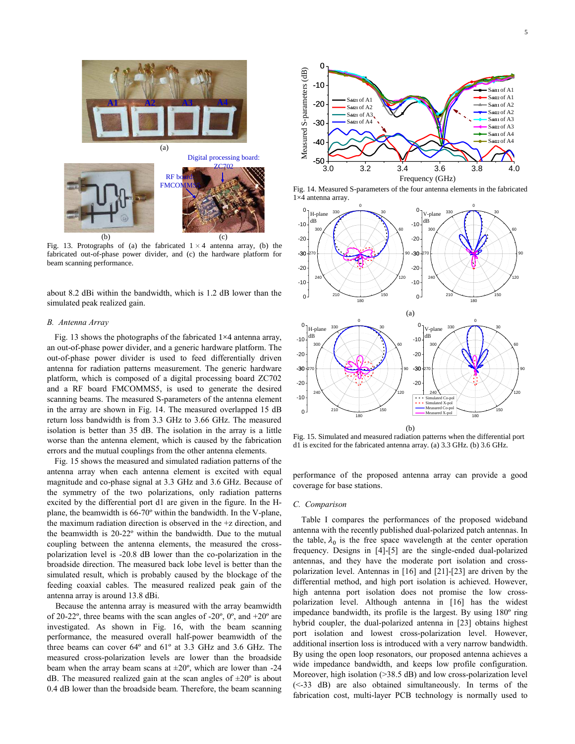

Fig. 13. Protographs of (a) the fabricated  $1 \times 4$  antenna array, (b) the fabricated out-of-phase power divider, and (c) the hardware platform for beam scanning performance.

about 8.2 dBi within the bandwidth, which is 1.2 dB lower than the simulated peak realized gain.

#### *B. Antenna Array*

Fig. 13 shows the photographs of the fabricated  $1\times4$  antenna array, an out-of-phase power divider, and a generic hardware platform. The out-of-phase power divider is used to feed differentially driven antenna for radiation patterns measurement. The generic hardware platform, which is composed of a digital processing board ZC702 and a RF board FMCOMMS5, is used to generate the desired scanning beams. The measured S-parameters of the antenna element in the array are shown in Fig. 14. The measured overlapped 15 dB return loss bandwidth is from 3.3 GHz to 3.66 GHz. The measured isolation is better than 35 dB. The isolation in the array is a little worse than the antenna element, which is caused by the fabrication errors and the mutual couplings from the other antenna elements.

Fig. 15 shows the measured and simulated radiation patterns of the antenna array when each antenna element is excited with equal magnitude and co-phase signal at 3.3 GHz and 3.6 GHz. Because of the symmetry of the two polarizations, only radiation patterns excited by the differential port d1 are given in the figure. In the Hplane, the beamwidth is 66-70º within the bandwidth. In the V-plane, the maximum radiation direction is observed in the  $+z$  direction, and the beamwidth is 20-22º within the bandwidth. Due to the mutual coupling between the antenna elements, the measured the crosspolarization level is -20.8 dB lower than the co-polarization in the broadside direction. The measured back lobe level is better than the simulated result, which is probably caused by the blockage of the feeding coaxial cables. The measured realized peak gain of the antenna array is around 13.8 dBi.

Because the antenna array is measured with the array beamwidth of 20-22 $^{\circ}$ , three beams with the scan angles of -20 $^{\circ}$ , 0 $^{\circ}$ , and +20 $^{\circ}$  are investigated. As shown in Fig. 16, with the beam scanning performance, the measured overall half-power beamwidth of the three beams can cover 64º and 61º at 3.3 GHz and 3.6 GHz. The measured cross-polarization levels are lower than the broadside beam when the array beam scans at  $\pm 20^{\circ}$ , which are lower than -24 dB. The measured realized gain at the scan angles of  $\pm 20^{\circ}$  is about 0.4 dB lower than the broadside beam. Therefore, the beam scanning



FMCOMMS<sub>5</sub> FIG. 14. Measured S-parameters of the four antenna elements in the fabricated 1×4 antenna array.



Fig. 15. Simulated and measured radiation patterns when the differential port d1 is excited for the fabricated antenna array. (a) 3.3 GHz. (b) 3.6 GHz.

performance of the proposed antenna array can provide a good coverage for base stations.

#### *C. Comparison*

Table I compares the performances of the proposed wideband antenna with the recently published dual-polarized patch antennas. In the table,  $\lambda_0$  is the free space wavelength at the center operation frequency. Designs in [4]-[5] are the single-ended dual-polarized antennas, and they have the moderate port isolation and crosspolarization level. Antennas in [16] and [21]-[23] are driven by the differential method, and high port isolation is achieved. However, high antenna port isolation does not promise the low crosspolarization level. Although antenna in [16] has the widest impedance bandwidth, its profile is the largest. By using 180º ring hybrid coupler, the dual-polarized antenna in [23] obtains highest port isolation and lowest cross-polarization level. However, additional insertion loss is introduced with a very narrow bandwidth. By using the open loop resonators, our proposed antenna achieves a wide impedance bandwidth, and keeps low profile configuration. Moreover, high isolation (>38.5 dB) and low cross-polarization level (<-33 dB) are also obtained simultaneously. In terms of the fabrication cost, multi-layer PCB technology is normally used to